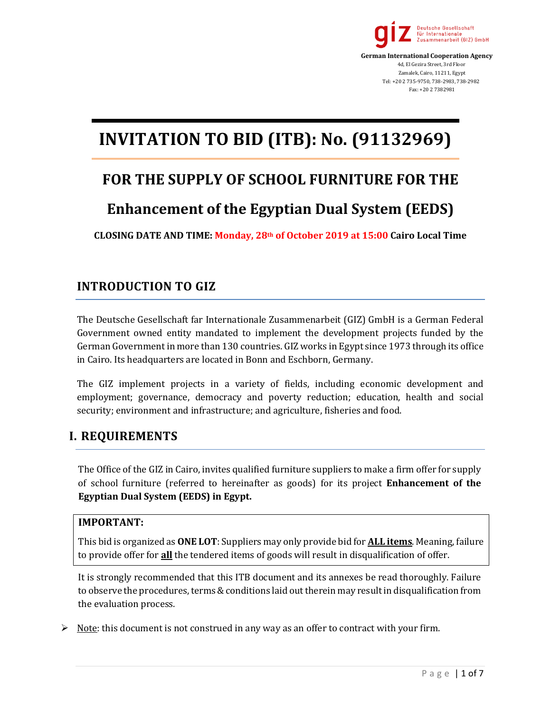

 **German International Cooperation Agency** 4d, El Gezira Street, 3rd Floor Zamalek, Cairo, 11211, Egypt Tel: +20 2 735-9750, 738-2983, 738-2982 Fax: +20 2 7382981

# **INVITATION TO BID (ITB): No. (91132969)**

# **FOR THE SUPPLY OF SCHOOL FURNITURE FOR THE**

# **Enhancement of the Egyptian Dual System (EEDS)**

**CLOSING DATE AND TIME: Monday, 28th of October 2019 at 15:00 Cairo Local Time**

# **INTRODUCTION TO GIZ**

The Deutsche Gesellschaft far Internationale Zusammenarbeit (GIZ) GmbH is a German Federal Government owned entity mandated to implement the development projects funded by the German Government in more than 130 countries. GIZ works in Egypt since 1973 through its office in Cairo. Its headquarters are located in Bonn and Eschborn, Germany.

The GIZ implement projects in a variety of fields, including economic development and employment; governance, democracy and poverty reduction; education, health and social security; environment and infrastructure; and agriculture, fisheries and food.

# **I. REQUIREMENTS**

The Office of the GIZ in Cairo, invites qualified furniture suppliers to make a firm offer for supply of school furniture (referred to hereinafter as goods) for its project **Enhancement of the Egyptian Dual System (EEDS) in Egypt.** 

#### **IMPORTANT:**

This bid is organized as **ONE LOT**: Suppliers may only provide bid for **ALL items**. Meaning, failure to provide offer for **all** the tendered items of goods will result in disqualification of offer.

It is strongly recommended that this ITB document and its annexes be read thoroughly. Failure to observe the procedures, terms & conditions laid out therein may result in disqualification from the evaluation process.

 $\triangleright$  Note: this document is not construed in any way as an offer to contract with your firm.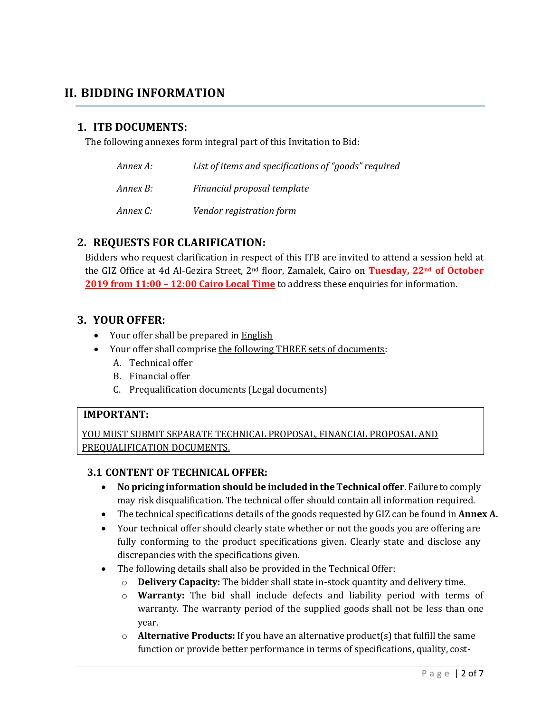# **II. BIDDING INFORMATION**

## **1. ITB DOCUMENTS:**

The following annexes form integral part of this Invitation to Bid:

| Annex A: | List of items and specifications of "goods" required |
|----------|------------------------------------------------------|
| Annex B: | Financial proposal template                          |
| Annex C: | Vendor registration form                             |

## **2. REQUESTS FOR CLARIFICATION:**

Bidders who request clarification in respect of this ITB are invited to attend a session held at the GIZ Office at 4d Al-Gezira Street, 2nd floor, Zamalek, Cairo on **Tuesday, 22nd of October 2019 from 11:00 – 12:00 Cairo Local Time** to address these enquiries for information.

#### **3. YOUR OFFER:**

- Your offer shall be prepared in English
- Your offer shall comprise the following THREE sets of documents:
	- A. Technical offer
	- B. Financial offer
	- C. Prequalification documents (Legal documents)

#### **IMPORTANT:**

YOU MUST SUBMIT SEPARATE TECHNICAL PROPOSAL, FINANCIAL PROPOSAL AND PREQUALIFICATION DOCUMENTS.

#### **3.1 CONTENT OF TECHNICAL OFFER:**

- **No pricing information should be included in the Technical offer**. Failure to comply may risk disqualification. The technical offer should contain all information required.
- The technical specifications details of the goods requested by GIZ can be found in **Annex A.**
- Your technical offer should clearly state whether or not the goods you are offering are fully conforming to the product specifications given. Clearly state and disclose any discrepancies with the specifications given.
- The following details shall also be provided in the Technical Offer:
	- o **Delivery Capacity:** The bidder shall state in-stock quantity and delivery time.
	- o **Warranty:** The bid shall include defects and liability period with terms of warranty. The warranty period of the supplied goods shall not be less than one year.
	- o **Alternative Products:** If you have an alternative product(s) that fulfill the same function or provide better performance in terms of specifications, quality, cost-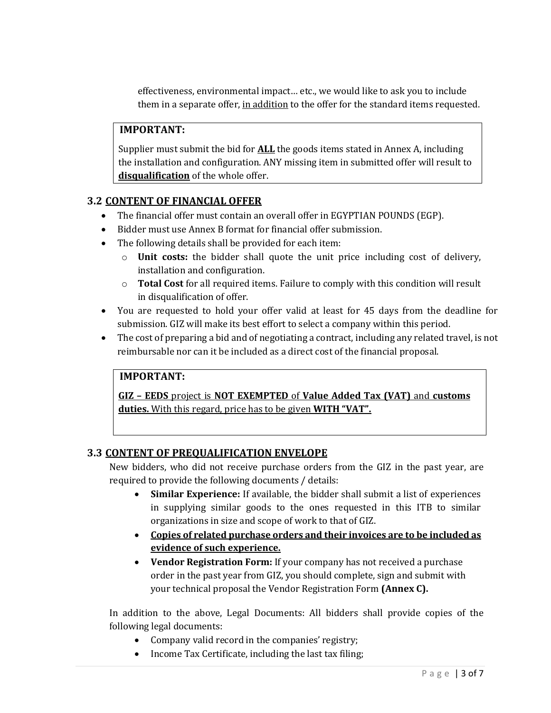effectiveness, environmental impact… etc., we would like to ask you to include them in a separate offer, in addition to the offer for the standard items requested.

### **IMPORTANT:**

Supplier must submit the bid for **ALL** the goods items stated in Annex A, including the installation and configuration. ANY missing item in submitted offer will result to **disqualification** of the whole offer.

#### **3.2 CONTENT OF FINANCIAL OFFER**

- The financial offer must contain an overall offer in EGYPTIAN POUNDS (EGP).
- Bidder must use Annex B format for financial offer submission.
- The following details shall be provided for each item:
	- o **Unit costs:** the bidder shall quote the unit price including cost of delivery, installation and configuration.
	- o **Total Cost** for all required items. Failure to comply with this condition will result in disqualification of offer.
- You are requested to hold your offer valid at least for 45 days from the deadline for submission. GIZ will make its best effort to select a company within this period.
- The cost of preparing a bid and of negotiating a contract, including any related travel, is not reimbursable nor can it be included as a direct cost of the financial proposal.

### **IMPORTANT:**

**GIZ – EEDS** project is **NOT EXEMPTED** of **Value Added Tax (VAT)** and **customs duties.** With this regard, price has to be given **WITH "VAT".** 

#### **3.3 CONTENT OF PREQUALIFICATION ENVELOPE**

New bidders, who did not receive purchase orders from the GIZ in the past year, are required to provide the following documents / details:

- **Similar Experience:** If available, the bidder shall submit a list of experiences in supplying similar goods to the ones requested in this ITB to similar organizations in size and scope of work to that of GIZ.
- **Copies of related purchase orders and their invoices are to be included as evidence of such experience.**
- **Vendor Registration Form:** If your company has not received a purchase order in the past year from GIZ, you should complete, sign and submit with your technical proposal the Vendor Registration Form **(Annex C).**

In addition to the above, Legal Documents: All bidders shall provide copies of the following legal documents:

- Company valid record in the companies' registry;
- Income Tax Certificate, including the last tax filing;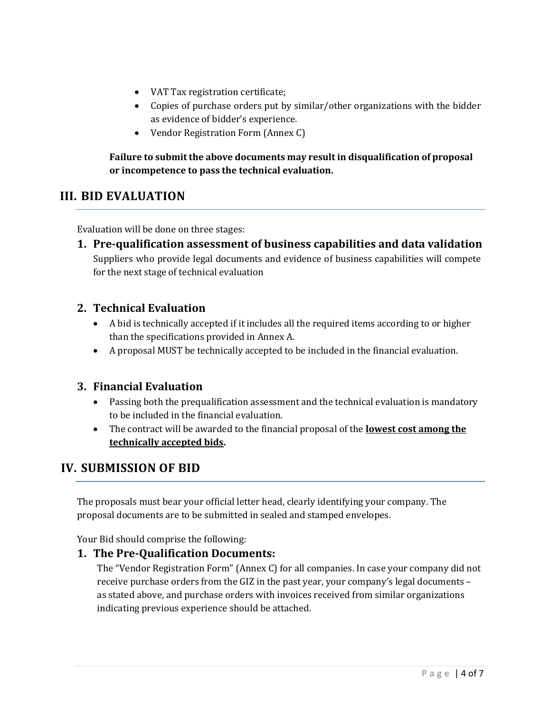- VAT Tax registration certificate;
- Copies of purchase orders put by similar/other organizations with the bidder as evidence of bidder's experience.
- Vendor Registration Form (Annex C)

## **Failure to submit the above documents may result in disqualification of proposal or incompetence to pass the technical evaluation.**

# **III. BID EVALUATION**

Evaluation will be done on three stages:

**1. Pre-qualification assessment of business capabilities and data validation** Suppliers who provide legal documents and evidence of business capabilities will compete for the next stage of technical evaluation

# **2. Technical Evaluation**

- A bid is technically accepted if it includes all the required items according to or higher than the specifications provided in Annex A.
- A proposal MUST be technically accepted to be included in the financial evaluation.

# **3. Financial Evaluation**

- Passing both the prequalification assessment and the technical evaluation is mandatory to be included in the financial evaluation.
- The contract will be awarded to the financial proposal of the **lowest cost among the technically accepted bids.**

# **IV. SUBMISSION OF BID**

The proposals must bear your official letter head, clearly identifying your company. The proposal documents are to be submitted in sealed and stamped envelopes.

Your Bid should comprise the following:

# **1. The Pre-Qualification Documents:**

The "Vendor Registration Form" (Annex C) for all companies. In case your company did not receive purchase orders from the GIZ in the past year, your company's legal documents – as stated above, and purchase orders with invoices received from similar organizations indicating previous experience should be attached.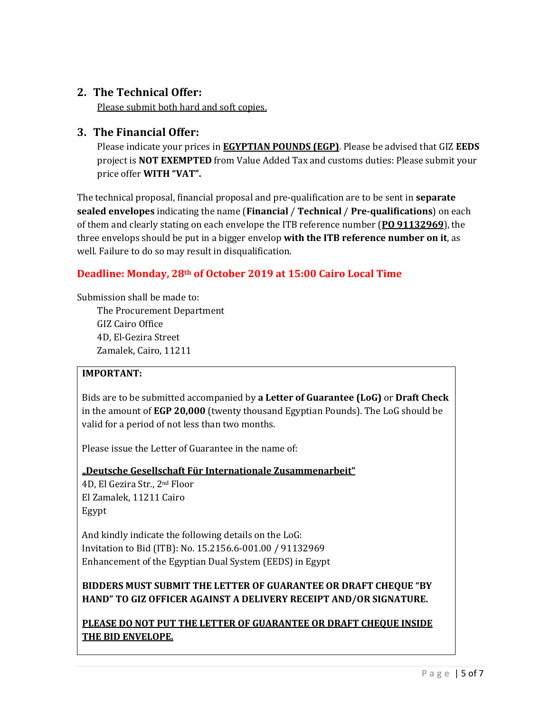# **2. The Technical Offer:**

Please submit both hard and soft copies.

## **3. The Financial Offer:**

Please indicate your prices in **EGYPTIAN POUNDS (EGP)**. Please be advised that GIZ **EEDS** project is **NOT EXEMPTED** from Value Added Tax and customs duties: Please submit your price offer **WITH "VAT".**

The technical proposal, financial proposal and pre-qualification are to be sent in **separate sealed envelopes** indicating the name (**Financial** / **Technical** / **Pre-qualifications**) on each of them and clearly stating on each envelope the ITB reference number (**PO 91132969**), the three envelops should be put in a bigger envelop **with the ITB reference number on it**, as well. Failure to do so may result in disqualification.

# **Deadline: Monday, 28th of October 2019 at 15:00 Cairo Local Time**

Submission shall be made to:

The Procurement Department GIZ Cairo Office 4D, El-Gezira Street Zamalek, Cairo, 11211

#### **IMPORTANT:**

Bids are to be submitted accompanied by **a Letter of Guarantee (LoG)** or **Draft Check** in the amount of **EGP 20,000** (twenty thousand Egyptian Pounds). The LoG should be valid for a period of not less than two months.

Please issue the Letter of Guarantee in the name of:

#### **"Deutsche Gesellschaft Für Internationale Zusammenarbeit"**

4D, El Gezira Str., 2nd Floor El Zamalek, 11211 Cairo Egypt

And kindly indicate the following details on the LoG: Invitation to Bid (ITB): No. 15.2156.6-001.00 / 91132969 Enhancement of the Egyptian Dual System (EEDS) in Egypt

## **BIDDERS MUST SUBMIT THE LETTER OF GUARANTEE OR DRAFT CHEQUE "BY HAND" TO GIZ OFFICER AGAINST A DELIVERY RECEIPT AND/OR SIGNATURE.**

**PLEASE DO NOT PUT THE LETTER OF GUARANTEE OR DRAFT CHEQUE INSIDE THE BID ENVELOPE.**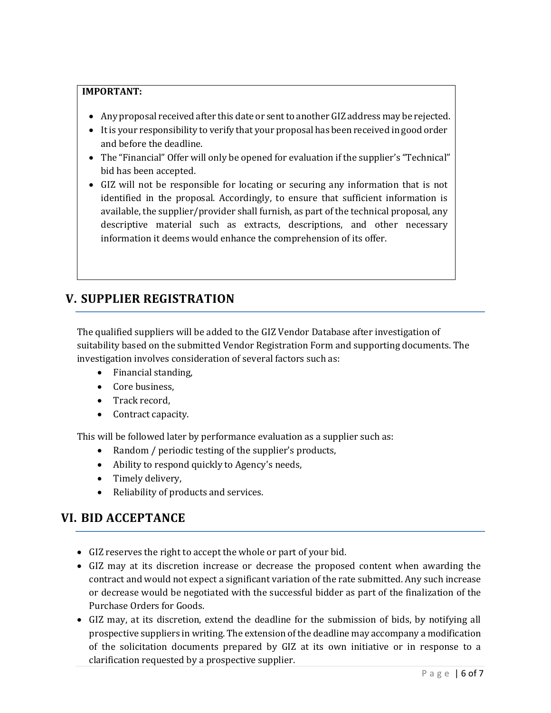#### **IMPORTANT:**

- Any proposal received after this date or sent to another GIZ address may be rejected.
- It is your responsibility to verify that your proposal has been received in good order and before the deadline.
- The "Financial" Offer will only be opened for evaluation if the supplier's "Technical" bid has been accepted.
- GIZ will not be responsible for locating or securing any information that is not identified in the proposal. Accordingly, to ensure that sufficient information is available, the supplier/provider shall furnish, as part of the technical proposal, any descriptive material such as extracts, descriptions, and other necessary information it deems would enhance the comprehension of its offer.

# **V. SUPPLIER REGISTRATION**

The qualified suppliers will be added to the GIZ Vendor Database after investigation of suitability based on the submitted Vendor Registration Form and supporting documents. The investigation involves consideration of several factors such as:

- Financial standing,
- Core business,
- Track record,
- Contract capacity.

This will be followed later by performance evaluation as a supplier such as:

- Random / periodic testing of the supplier's products,
- Ability to respond quickly to Agency's needs,
- Timely delivery,
- Reliability of products and services.

# **VI. BID ACCEPTANCE**

- GIZ reserves the right to accept the whole or part of your bid.
- GIZ may at its discretion increase or decrease the proposed content when awarding the contract and would not expect a significant variation of the rate submitted. Any such increase or decrease would be negotiated with the successful bidder as part of the finalization of the Purchase Orders for Goods.
- GIZ may, at its discretion, extend the deadline for the submission of bids, by notifying all prospective suppliers in writing. The extension of the deadline may accompany a modification of the solicitation documents prepared by GIZ at its own initiative or in response to a clarification requested by a prospective supplier.